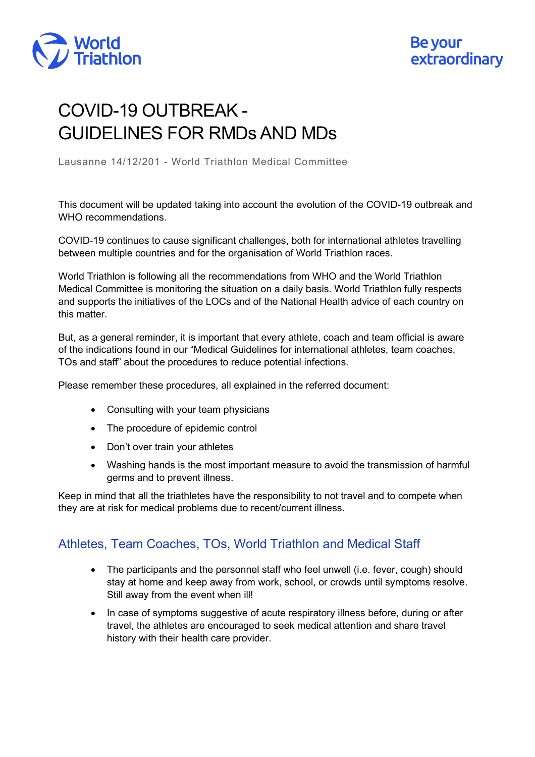

## COVID-19 OUTBREAK - GUIDELINES FOR RMDs AND MDs

Lausanne 14/12/201 - World Triathlon Medical Committee

This document will be updated taking into account the evolution of the COVID-19 outbreak and WHO recommendations.

COVID-19 continues to cause significant challenges, both for international athletes travelling between multiple countries and for the organisation of World Triathlon races.

World Triathlon is following all the recommendations from WHO and the World Triathlon Medical Committee is monitoring the situation on a daily basis. World Triathlon fully respects and supports the initiatives of the LOCs and of the National Health advice of each country on this matter.

But, as a general reminder, it is important that every athlete, coach and team official is aware of the indications found in our ["Medical Guidelines for](https://www.triathlon.org/about/download_file/medical_guidelines_for_international_athletes_team_coaches_and_tos_staff) [international athletes, team coaches,](https://www.triathlon.org/about/download_file/medical_guidelines_for_international_athletes_team_coaches_and_tos_staff)  [TOs and staff"](https://www.triathlon.org/about/download_file/medical_guidelines_for_international_athletes_team_coaches_and_tos_staff) about the procedures to reduce potential infections.

Please remember these procedures, all explained in the referred document:

- Consulting with your team physicians
- The procedure of epidemic control
- Don't over train your athletes
- Washing hands is the most important measure to avoid the transmission of harmful germs and to prevent illness.

Keep in mind that all the triathletes have the responsibility to not travel and to compete when they are at risk for medical problems due to recent/current illness.

## Athletes, Team Coaches, TOs, World Triathlon and Medical Staff

- The participants and the personnel staff who feel unwell (i.e. fever, cough) should stay at home and keep away from work, school, or crowds until symptoms resolve. Still away from the event when ill!
- In case of symptoms suggestive of acute respiratory illness before, during or after travel, the athletes are encouraged to seek medical attention and share travel history with their health care provider.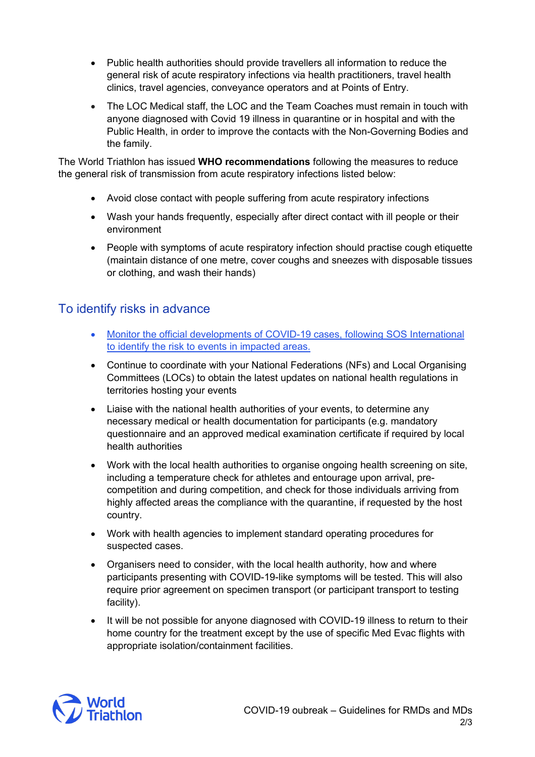- Public health authorities should provide travellers all information to reduce the general risk of acute respiratory infections via health practitioners, travel health clinics, travel agencies, conveyance operators and at Points of Entry.
- The LOC Medical staff, the LOC and the Team Coaches must remain in touch with anyone diagnosed with Covid 19 illness in quarantine or in hospital and with the Public Health, in order to improve the contacts with the Non-Governing Bodies and the family.

The World Triathlon has issued **WHO recommendations** following the measures to reduce the general risk of transmission from acute respiratory infections listed below:

- Avoid close contact with people suffering from acute respiratory infections
- Wash your hands frequently, especially after direct contact with ill people or their environment
- People with symptoms of acute respiratory infection should practise cough etiquette (maintain distance of one metre, cover coughs and sneezes with disposable tissues or clothing, and wash their hands)

## To identify risks in advance

- [Monitor the official developments of COVID-19 cases, following SOS International](https://pandemic.internationalsos.com/2019-ncov/)  [to identify the risk to events in impacted areas.](https://pandemic.internationalsos.com/2019-ncov/)
- Continue to coordinate with your National Federations (NFs) and Local Organising Committees (LOCs) to obtain the latest updates on national health regulations in territories hosting your events
- Liaise with the national health authorities of your events, to determine any necessary medical or health documentation for participants (e.g. mandatory questionnaire and an approved medical examination certificate if required by local health authorities
- Work with the local health authorities to organise ongoing health screening on site, including a temperature check for athletes and entourage upon arrival, precompetition and during competition, and check for those individuals arriving from highly affected areas the compliance with the quarantine, if requested by the host country.
- Work with health agencies to implement standard operating procedures for suspected cases.
- Organisers need to consider, with the local health authority, how and where participants presenting with COVID-19-like symptoms will be tested. This will also require prior agreement on specimen transport (or participant transport to testing facility).
- It will be not possible for anyone diagnosed with COVID-19 illness to return to their home country for the treatment except by the use of specific Med Evac flights with appropriate isolation/containment facilities.